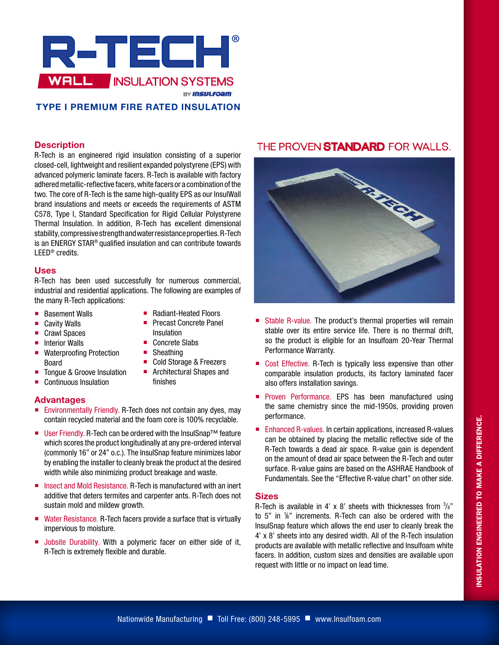

## **TYPE I PREMIUM FIRE RATED INSULATION**

### **Description**

R-Tech is an engineered rigid insulation consisting of a superior closed-cell, lightweight and resilient expanded polystyrene (EPS) with advanced polymeric laminate facers. R-Tech is available with factory adhered metallic-reflective facers, white facers or a combination of the two. The core of R-Tech is the same high-quality EPS as our InsulWall brand insulations and meets or exceeds the requirements of ASTM C578, Type I, Standard Specification for Rigid Cellular Polystyrene Thermal Insulation. In addition, R-Tech has excellent dimensional stability, compressive strength and water resistance properties. R-Tech is an ENERGY STAR® qualified insulation and can contribute towards LEED® credits.

### **Uses**

R-Tech has been used successfully for numerous commercial, industrial and residential applications. The following are examples of the many R-Tech applications:

> ■ Radiant-Heated Floors **Precast Concrete Panel**

■ Cold Storage & Freezers **Architectural Shapes and** 

Insulation ■ Concrete Slabs ■ Sheathing

finishes

- Basement Walls
- Cavity Walls
- Crawl Spaces
- $\blacksquare$  Interior Walls
- Waterproofing Protection Board
- Tongue & Groove Insulation
- Continuous Insulation

## **Advantages**

- **Environmentally Friendly. R-Tech does not contain any dyes, may** contain recycled material and the foam core is 100% recyclable.
- User Friendly. R-Tech can be ordered with the InsulSnap<sup>™</sup> feature which scores the product longitudinally at any pre-ordered interval (commonly 16" or 24" o.c.). The InsulSnap feature minimizes labor by enabling the installer to cleanly break the product at the desired width while also minimizing product breakage and waste.
- Insect and Mold Resistance. R-Tech is manufactured with an inert additive that deters termites and carpenter ants. R-Tech does not sustain mold and mildew growth.
- Water Resistance. R-Tech facers provide a surface that is virtually impervious to moisture.
- **Jobsite Durability. With a polymeric facer on either side of it,** R-Tech is extremely flexible and durable.

# THE PROVEN STANDARD FOR WALLS.



- Stable R-value. The product's thermal properties will remain stable over its entire service life. There is no thermal drift, so the product is eligible for an Insulfoam 20-Year Thermal Performance Warranty.
- Cost Effective. R-Tech is typically less expensive than other comparable insulation products, its factory laminated facer also offers installation savings.
- **Proven Performance. EPS has been manufactured using** the same chemistry since the mid-1950s, providing proven performance.
- Enhanced R-values. In certain applications, increased R-values can be obtained by placing the metallic reflective side of the R-Tech towards a dead air space. R-value gain is dependent on the amount of dead air space between the R-Tech and outer surface. R-value gains are based on the ASHRAE Handbook of Fundamentals. See the "Effective R-value chart" on other side.

## **Sizes**

R-Tech is available in 4' x 8' sheets with thicknesses from  $\frac{3}{8}$ " to 5" in 1 /8" increments. R-Tech can also be ordered with the InsulSnap feature which allows the end user to cleanly break the 4' x 8' sheets into any desired width. All of the R-Tech insulation products are available with metallic reflective and Insulfoam white facers. In addition, custom sizes and densities are available upon request with little or no impact on lead time.